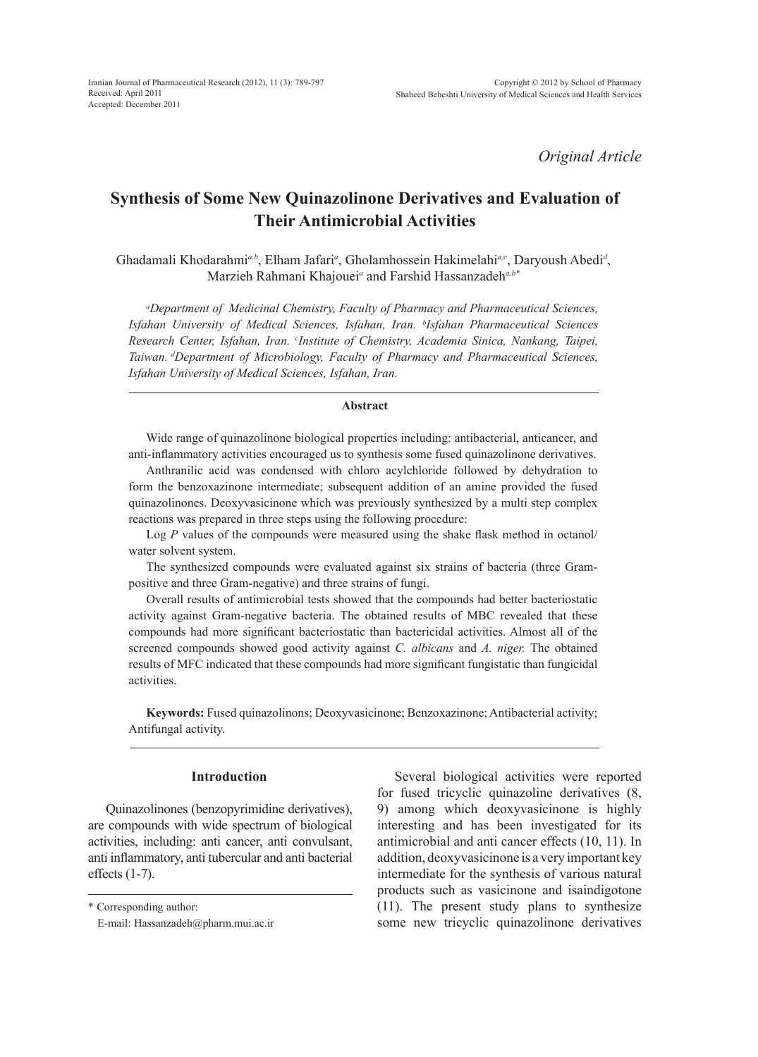*Original Article*

# **Synthesis of Some New Quinazolinone Derivatives and Evaluation of Their Antimicrobial Activities**

Ghadamali Khodarahmi<sup>a,b</sup>, Elham Jafari<sup>a</sup>, Gholamhossein Hakimelahi<sup>a,c</sup>, Daryoush Abedi<sup>d</sup>, Marzieh Rahmani Khajouei*<sup>a</sup>* and Farshid Hassanzadeh*a,b\**

*a Department of Medicinal Chemistry, Faculty of Pharmacy and Pharmaceutical Sciences, Isfahan University of Medical Sciences, Isfahan, Iran. b Isfahan Pharmaceutical Sciences Research Center, Isfahan, Iran. c Institute of Chemistry, Academia Sinica, Nankang, Taipei, Taiwan. dDepartment of Microbiology, Faculty of Pharmacy and Pharmaceutical Sciences, Isfahan University of Medical Sciences, Isfahan, Iran.*

### **Abstract**

Wide range of quinazolinone biological properties including: antibacterial, anticancer, and anti-inflammatory activities encouraged us to synthesis some fused quinazolinone derivatives.

Anthranilic acid was condensed with chloro acylchloride followed by dehydration to form the benzoxazinone intermediate; subsequent addition of an amine provided the fused quinazolinones. Deoxyvasicinone which was previously synthesized by a multi step complex reactions was prepared in three steps using the following procedure:

Log *P* values of the compounds were measured using the shake flask method in octanol/ water solvent system.

The synthesized compounds were evaluated against six strains of bacteria (three Grampositive and three Gram-negative) and three strains of fungi.

Overall results of antimicrobial tests showed that the compounds had better bacteriostatic activity against Gram-negative bacteria. The obtained results of MBC revealed that these compounds had more significant bacteriostatic than bactericidal activities. Almost all of the screened compounds showed good activity against *C. albicans* and *A. niger.* The obtained results of MFC indicated that these compounds had more significant fungistatic than fungicidal activities.

**Keywords:** Fused quinazolinons; Deoxyvasicinone; Benzoxazinone; Antibacterial activity; Antifungal activity.

### **Introduction**

Quinazolinones (benzopyrimidine derivatives), are compounds with wide spectrum of biological activities, including: anti cancer, anti convulsant, anti inflammatory, anti tubercular and anti bacterial effects (1-7).

Several biological activities were reported for fused tricyclic quinazoline derivatives (8, 9) among which deoxyvasicinone is highly interesting and has been investigated for its antimicrobial and anti cancer effects (10, 11). In addition, deoxyvasicinone is a very important key intermediate for the synthesis of various natural products such as vasicinone and isaindigotone (11). The present study plans to synthesize some new tricyclic quinazolinone derivatives

<sup>\*</sup> Corresponding author:

E-mail: Hassanzadeh@pharm.mui.ac.ir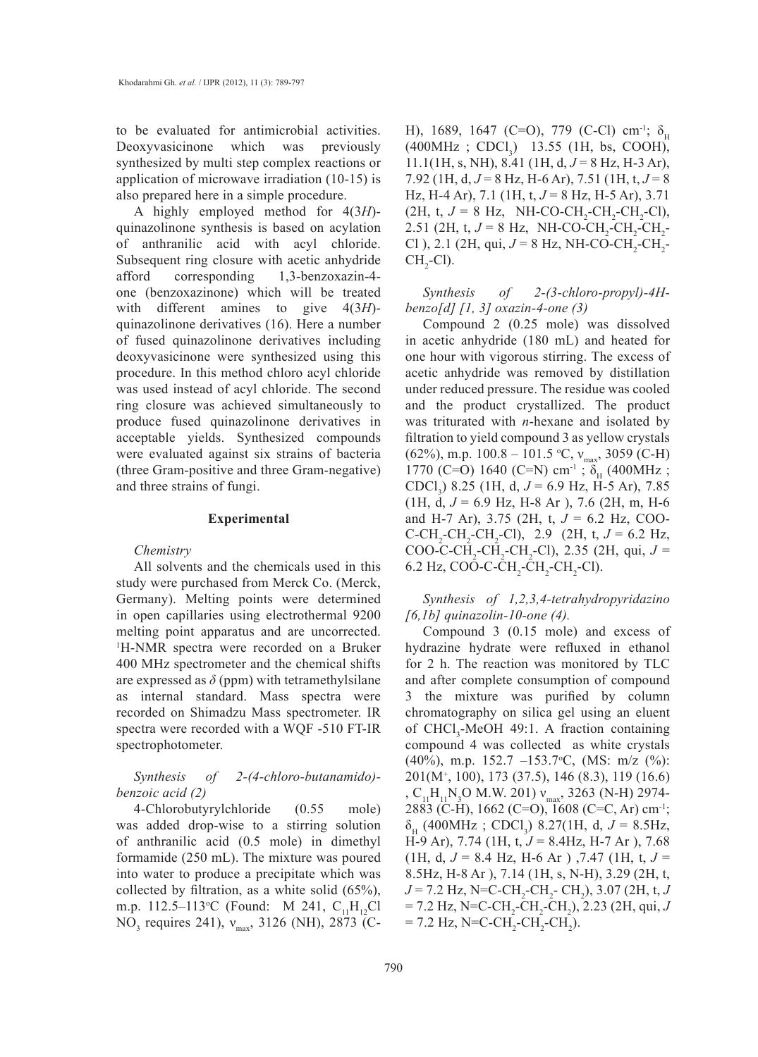to be evaluated for antimicrobial activities. Deoxyvasicinone which was previously synthesized by multi step complex reactions or application of microwave irradiation (10-15) is also prepared here in a simple procedure.

A highly employed method for 4(3*H*) quinazolinone synthesis is based on acylation of anthranilic acid with acyl chloride. Subsequent ring closure with acetic anhydride afford corresponding 1,3-benzoxazin-4 one (benzoxazinone) which will be treated with different amines to give 4(3*H*) quinazolinone derivatives (16). Here a number of fused quinazolinone derivatives including deoxyvasicinone were synthesized using this procedure. In this method chloro acyl chloride was used instead of acyl chloride. The second ring closure was achieved simultaneously to produce fused quinazolinone derivatives in acceptable yields. Synthesized compounds were evaluated against six strains of bacteria (three Gram-positive and three Gram-negative) and three strains of fungi.

#### **Experimental**

#### *Chemistry*

All solvents and the chemicals used in this study were purchased from Merck Co. (Merck, Germany). Melting points were determined in open capillaries using electrothermal 9200 melting point apparatus and are uncorrected. 1 H-NMR spectra were recorded on a Bruker 400 MHz spectrometer and the chemical shifts are expressed as  $\delta$  (ppm) with tetramethylsilane as internal standard. Mass spectra were recorded on Shimadzu Mass spectrometer. IR spectra were recorded with a WQF -510 FT-IR spectrophotometer.

# *Synthesis of 2-(4-chloro-butanamido) benzoic acid (2)*

4-Chlorobutyrylchloride (0.55 mole) was added drop-wise to a stirring solution of anthranilic acid (0.5 mole) in dimethyl formamide (250 mL). The mixture was poured into water to produce a precipitate which was collected by filtration, as a white solid (65%), m.p. 112.5–113°C (Found: M 241, C<sub>11</sub>H<sub>12</sub>Cl  $NO_3$  requires 241),  $v_{max}$ , 3126 (NH), 2873 (C-

H), 1689, 1647 (C=O), 779 (C-Cl) cm<sup>-1</sup>;  $\delta_{\text{H}}$  $(400 MHz ; CDCl<sub>3</sub>)$  13.55 (1H, bs, COOH),  $11.1(1H, s, NH)$ , 8.41 (1H, d,  $J = 8$  Hz, H-3 Ar), 7.92 (1H, d, *J* = 8 Hz, H-6 Ar), 7.51 (1H, t, *J* = 8 Hz, H-4 Ar), 7.1 (1H, t, *J* = 8 Hz, H-5 Ar), 3.71  $(2H, t, J = 8 Hz, NH-CO-CH<sub>2</sub>-CH<sub>2</sub>-CH<sub>2</sub>-Cl),$ 2.51 (2H, t,  $J = 8$  Hz, NH-CO-CH<sub>2</sub>-CH<sub>2</sub>-CH<sub>2</sub>-Cl ), 2.1 (2H, qui,  $J = 8$  Hz, NH-CO-CH<sub>2</sub>-CH<sub>2</sub>- $CH_2$ -Cl).

*Synthesis of 2-(3-chloro-propyl)-4Hbenzo[d] [1, 3] oxazin-4-one (3)*

Compound 2 (0.25 mole) was dissolved in acetic anhydride (180 mL) and heated for one hour with vigorous stirring. The excess of acetic anhydride was removed by distillation under reduced pressure. The residue was cooled and the product crystallized. The product was triturated with *n*-hexane and isolated by filtration to yield compound 3 as yellow crystals (62%), m.p. 100.8 – 101.5 °C,  $v_{\text{max}}$ , 3059 (C-H) 1770 (C=O) 1640 (C=N) cm<sup>-1</sup>;  $\delta_{\rm H}$  (400MHz; CDCl3 ) 8.25 (1H, d, *J* = 6.9 Hz, H-5 Ar), 7.85 (1H, d, *J* = 6.9 Hz, H-8 Ar ), 7.6 (2H, m, H-6 and H-7 Ar), 3.75 (2H, t, *J* = 6.2 Hz, COO- $C-CH_2-CH_2-CH_2-Cl$ , 2.9 (2H, t,  $J = 6.2$  Hz, COO-C-CH<sub>2</sub>-CH<sub>2</sub>-CH<sub>2</sub>-Cl), 2.35 (2H, qui,  $J =$ 6.2 Hz, COO-C-CH<sub>2</sub>-CH<sub>2</sub>-CH<sub>2</sub>-Cl).

*Synthesis of 1,2,3,4-tetrahydropyridazino [6,1b] quinazolin-10-one (4).*

Compound 3 (0.15 mole) and excess of hydrazine hydrate were refluxed in ethanol for 2 h. The reaction was monitored by TLC and after complete consumption of compound 3 the mixture was purified by column chromatography on silica gel using an eluent of  $CHCl<sub>3</sub>$ -MeOH 49:1. A fraction containing compound 4 was collected as white crystals (40%), m.p. 152.7 –153.7ο C, (MS: m/z (%): 201(M<sup>+</sup>, 100), 173 (37.5), 146 (8.3), 119 (16.6) ,  $C_{11}H_{11}N_3O$  M.W. 201)  $v_{max}$ , 3263 (N-H) 2974-2883 (C-H), 1662 (C=O), 1608 (C=C, Ar) cm-1;  $\delta_{\rm H}$  (400MHz; CDCl<sub>3</sub>) 8.27(1H, d,  $J = 8.5$ Hz, H-9 Ar), 7.74 (1H, t, *J* = 8.4Hz, H-7 Ar ), 7.68  $(1H, d, J = 8.4 Hz, H-6 Ar)$ , 7.47  $(1H, t, J = 1.44)$ 8.5Hz, H-8 Ar ), 7.14 (1H, s, N-H), 3.29 (2H, t,  $J = 7.2$  Hz, N=C-CH<sub>2</sub>-CH<sub>2</sub>-CH<sub>2</sub>), 3.07 (2H, t, *J*  $= 7.2$  Hz, N=C-CH<sub>2</sub>-CH<sub>2</sub>-CH<sub>2</sub>), 2.23 (2H, qui, *J*  $= 7.2$  Hz, N=C-CH<sub>2</sub>-CH<sub>2</sub>-CH<sub>2</sub>).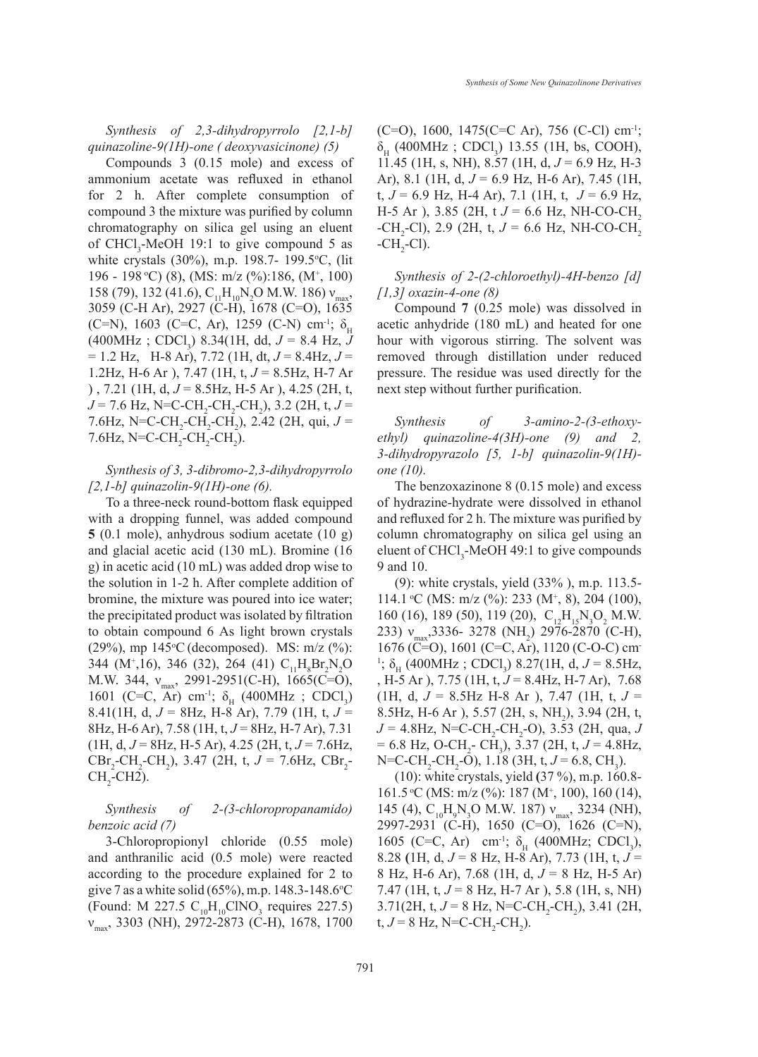*Synthesis of 2,3-dihydropyrrolo [2,1-b] quinazoline-9(1H)-one ( deoxyvasicinone) (5)*

Compounds 3 (0.15 mole) and excess of ammonium acetate was refluxed in ethanol for 2 h. After complete consumption of compound 3 the mixture was purified by column chromatography on silica gel using an eluent of  $CHCl<sub>3</sub>$ -MeOH 19:1 to give compound 5 as white crystals (30%), m.p. 198.7- 199.5 °C, (lit 196 - 198 °C) (8), (MS: m/z (%):186, (M<sup>+</sup>, 100) 158 (79), 132 (41.6),  $C_{11}H_{10}N_2O$  M.W. 186)  $v_{max}$ , 3059 (C-H Ar), 2927 (C-H), 1678 (C=O), 1635 (C=N), 1603 (C=C, Ar), 1259 (C-N) cm<sup>-1</sup>;  $\delta_{\rm u}$  $(400 \text{MHz}$ ; CDCl<sub>3</sub>) 8.34(1H, dd,  $J = 8.4$  Hz, J  $= 1.2$  Hz, H-8 Ar), 7.72 (1H, dt,  $J = 8.4$ Hz,  $J =$ 1.2Hz, H-6 Ar ), 7.47 (1H, t, *J* = 8.5Hz, H-7 Ar ) , 7.21 (1H, d, *J* = 8.5Hz, H-5 Ar ), 4.25 (2H, t,  $J = 7.6$  Hz, N=C-CH<sub>2</sub>-CH<sub>2</sub>-CH<sub>2</sub>), 3.2 (2H, t,  $J =$ 7.6Hz, N=C-CH<sub>2</sub>-CH<sub>2</sub>-CH<sub>2</sub>), 2.42 (2H, qui,  $J =$ 7.6Hz,  $N=C-CH_2-CH_2-CH_2$ ).

# *Synthesis of 3, 3-dibromo-2,3-dihydropyrrolo [2,1-b] quinazolin-9(1H)-one (6).*

To a three-neck round-bottom flask equipped with a dropping funnel, was added compound **5** (0.1 mole), anhydrous sodium acetate (10 g) and glacial acetic acid (130 mL). Bromine (16 g) in acetic acid (10 mL) was added drop wise to the solution in 1-2 h. After complete addition of bromine, the mixture was poured into ice water; the precipitated product was isolated by filtration to obtain compound 6 As light brown crystals (29%), mp  $145^{\circ}$ C (decomposed). MS: m/z (%): 344 (M<sup>+</sup>,16), 346 (32), 264 (41)  $C_{11}H_{8}Br_{2}N_{2}O$ M.W. 344,  $v_{\text{max}}$ , 2991-2951(C-H), 1665(C=O), 1601 (C=C, Ar) cm<sup>-1</sup>;  $\delta_{\rm H}$  (400MHz ; CDCl<sub>3</sub>) 8.41(1H, d, *J* = 8Hz, H-8 Ar), 7.79 (1H, t, *J* = 8Hz, H-6 Ar), 7.58 (1H, t, *J* = 8Hz, H-7 Ar), 7.31 (1H, d, *J* = 8Hz, H-5 Ar), 4.25 (2H, t, *J* = 7.6Hz,  $CBr_2$ - $CH_2$ - $CH_2$ ), 3.47 (2H, t,  $J = 7.6$ Hz,  $CBr_2$ - $CH<sub>2</sub>$ -CH2).

### *Synthesis of 2-(3-chloropropanamido) benzoic acid (7)*

3-Chloropropionyl chloride (0.55 mole) and anthranilic acid (0.5 mole) were reacted according to the procedure explained for 2 to give 7 as a white solid  $(65\%)$ , m.p. 148.3-148.6 °C (Found: M 227.5  $C_{10}H_{10}CINO_3$  requires 227.5) νmax, 3303 (NH), 2972-2873 (C-H), 1678, 1700

 $(C=O)$ , 1600, 1475 $(C=C \text{ Ar})$ , 756  $(C-CI)$  cm<sup>-1</sup>;  $\delta_{\rm H}$  (400MHz; CDCl<sub>3</sub>) 13.55 (1H, bs, COOH), 11.45 (1H, s, NH), 8.57 (1H, d, *J* = 6.9 Hz, H-3 Ar), 8.1 (1H, d, *J* = 6.9 Hz, H-6 Ar), 7.45 (1H, t,  $J = 6.9$  Hz, H-4 Ar), 7.1 (1H, t,  $J = 6.9$  Hz, H-5 Ar ), 3.85 (2H, t  $J = 6.6$  Hz, NH-CO-CH,  $-CH_2$ -Cl), 2.9 (2H, t,  $J = 6.6$  Hz, NH-CO-CH<sub>2</sub>  $-CH_2$ -Cl).

# *Synthesis of 2-(2-chloroethyl)-4H-benzo [d] [1,3] oxazin-4-one (8)*

Compound **7** (0.25 mole) was dissolved in acetic anhydride (180 mL) and heated for one hour with vigorous stirring. The solvent was removed through distillation under reduced pressure. The residue was used directly for the next step without further purification.

*Synthesis of 3-amino-2-(3-ethoxyethyl) quinazoline-4(3H)-one (9) and 2, 3-dihydropyrazolo [5, 1-b] quinazolin-9(1H) one (10).*

The benzoxazinone 8 (0.15 mole) and excess of hydrazine-hydrate were dissolved in ethanol and refluxed for 2 h. The mixture was purified by column chromatography on silica gel using an eluent of  $CHCl<sub>3</sub>$ -MeOH 49:1 to give compounds 9 and 10.

(9): white crystals, yield (33% ), m.p. 113.5- 114.1 °C (MS: m/z (%): 233 (M<sup>+</sup>, 8), 204 (100), 160 (16), 189 (50), 119 (20),  $C_{12}H_{15}N_3O_2$  M.W. 233) v<sub>max</sub>,3336- 3278 (NH<sub>2</sub>) 2976-2870 (C-H), 1676 (C=O), 1601 (C=C, Ar), 1120 (C-O-C) cm-<sup>1</sup>;  $\delta_{\text{H}}$  (400MHz ; CDCl<sub>3</sub>) 8.27(1H, d,  $J = 8.5$ Hz, , H-5 Ar ), 7.75 (1H, t, *J* = 8.4Hz, H-7 Ar), 7.68  $(1H, d, J = 8.5 Hz H-8 Ar)$ , 7.47  $(1H, t, J = 1)$ 8.5Hz, H-6 Ar ), 5.57 (2H, s, NH<sub>2</sub>), 3.94 (2H, t,  $J = 4.8$ Hz, N=C-CH<sub>2</sub>-CH<sub>2</sub>-O), 3.53 (2H, qua, *J*  $= 6.8$  Hz, O-CH<sub>2</sub>-CH<sub>3</sub>), 3.37 (2H, t,  $J = 4.8$ Hz, N=C-CH<sub>2</sub>-CH<sub>2</sub>-O), 1.18 (3H, t, J = 6.8, CH<sub>3</sub>).

(10): white crystals, yield **(**37 %), m.p. 160.8- 161.5 °C (MS: m/z (%): 187 (M<sup>+</sup>, 100), 160 (14), 145 (4),  $C_{10}H_9N_3O$  M.W. 187)  $v_{max}$ , 3234 (NH), 2997-2931 (C-H), 1650 (C=O), 1626 (C=N), 1605 (C=C, Ar) cm<sup>-1</sup>;  $\delta_{\rm H}$  (400MHz; CDCl<sub>3</sub>), 8.28 **(**1H, d, *J* = 8 Hz, H-8 Ar), 7.73 (1H, t, *J* = 8 Hz, H-6 Ar), 7.68 (1H, d, *J* = 8 Hz, H-5 Ar) 7.47 (1H, t, *J* = 8 Hz, H-7 Ar ), 5.8 (1H, s, NH)  $3.71(2H, t, J = 8 Hz, N=C-CH<sub>2</sub>-CH<sub>2</sub>), 3.41(2H,$ t,  $J = 8$  Hz, N=C-CH<sub>2</sub>-CH<sub>2</sub>).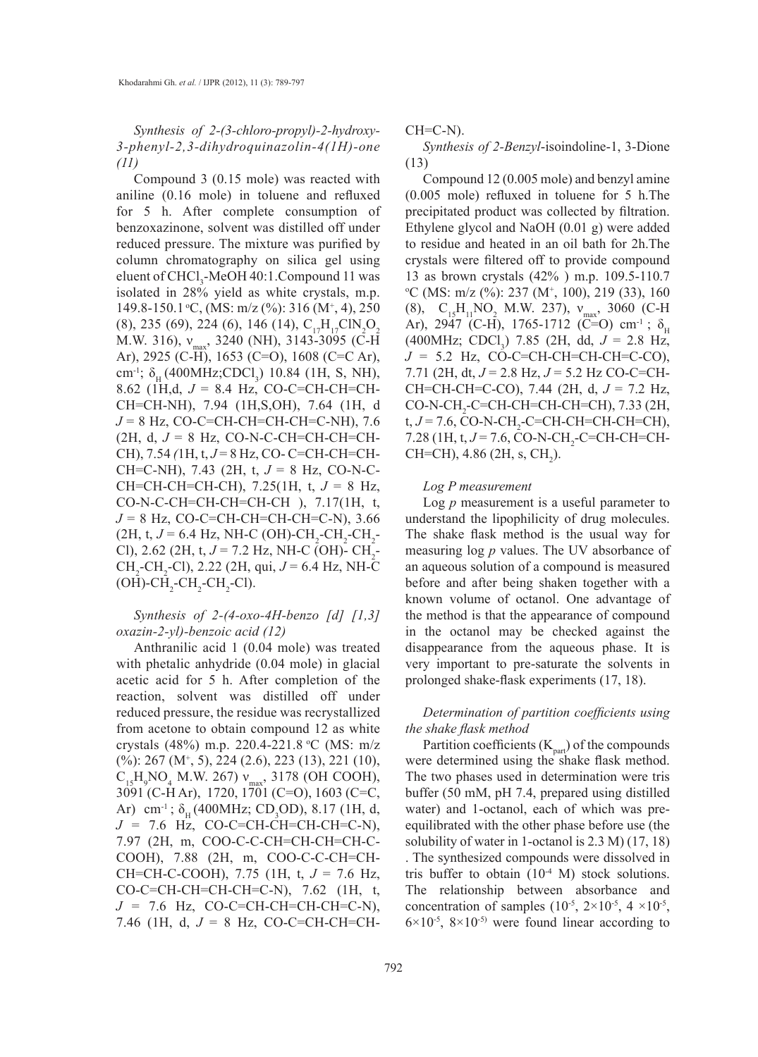*Synthesis of 2-(3-chloro-propyl)-2-hydroxy-3-phenyl-2,3-dihydroquinazolin-4(1H)-one (11)*

Compound 3 (0.15 mole) was reacted with aniline (0.16 mole) in toluene and refluxed for 5 h. After complete consumption of benzoxazinone, solvent was distilled off under reduced pressure. The mixture was purified by column chromatography on silica gel using eluent of CHCl<sub>3</sub>-MeOH 40:1.Compound 11 was isolated in 28% yield as white crystals, m.p. 149.8-150.1 °C, (MS: m/z (%): 316 (M<sup>+</sup>, 4), 250  $(8)$ , 235 (69), 224 (6), 146 (14),  $C_{17}H_{17}CN_2O_2$ M.W. 316),  $v_{\text{max}}$ , 3240 (NH), 3143-3095 (C-H) Ar), 2925 (C-H), 1653 (C=O), 1608 (C=C Ar), cm<sup>-1</sup>;  $\delta_{\rm H}$  (400MHz;CDCl<sub>3</sub>) 10.84 (1H, S, NH), 8.62 (1H,d, *J* = 8.4 Hz, CO-C=CH-CH=CH-CH=CH-NH), 7.94 (1H,S,OH), 7.64 (1H, d *J* = 8 Hz, CO-C=CH-CH=CH-CH=C-NH), 7.6  $(2H, d, J = 8 Hz, CO-N-C-CH=CH-CH=CH-CH$ CH), 7.54 *(*1H, t, *J* = 8 Hz, CO- C=CH-CH=CH-CH=C-NH), 7.43 (2H, t, *J* = 8 Hz, CO-N-C-CH=CH-CH=CH-CH), 7.25(1H, t, *J* = 8 Hz, CO-N-C-CH=CH-CH=CH-CH ), 7.17(1H, t, *J* = 8 Hz, CO-C=CH-CH=CH-CH=C-N), 3.66  $(2H, t, J = 6.4 \text{ Hz}, \text{NH-C } (OH) \text{-}CH_2\text{-}CH_2\text{-}CH_2$ Cl), 2.62 (2H, t,  $J = 7.2$  Hz, NH-C (OH)-  $\text{CH}_2$ -CH<sub>2</sub>-CH<sub>2</sub>-Cl), 2.22 (2H, qui, *J* = 6.4 Hz, NH-C  $(OH)$ -CH<sub>2</sub>-CH<sub>2</sub>-CH<sub>2</sub>-Cl).

# *Synthesis of 2-(4-oxo-4H-benzo [d] [1,3] oxazin-2-yl)-benzoic acid (12)*

Anthranilic acid 1 (0.04 mole) was treated with phetalic anhydride (0.04 mole) in glacial acetic acid for 5 h. After completion of the reaction, solvent was distilled off under reduced pressure, the residue was recrystallized from acetone to obtain compound 12 as white crystals (48%) m.p. 220.4-221.8 οC (MS: m/z (%): 267 (M<sup>+</sup>, 5), 224 (2.6), 223 (13), 221 (10),  $C_{15}H_9NO_4$  M.W. 267)  $v_{\text{max}}$ , 3178 (OH COOH), 3091 (C-H Ar), 1720, 1701 (C=O), 1603 (C=C, Ar) cm<sup>-1</sup>;  $\delta_{\rm H}$  (400MHz; CD<sub>3</sub>OD), 8.17 (1H, d,  $J = 7.6$  Hz, CO-C=CH-CH=CH-CH=C-N), 7.97 (2H, m, COO-C-C-CH=CH-CH=CH-C-COOH), 7.88 (2H, m, COO-C-C-CH=CH-CH=CH-C-COOH), 7.75 (1H, t, *J* = 7.6 Hz, CO-C=CH-CH=CH-CH=C-N), 7.62 (1H, t,  $J = 7.6$  Hz, CO-C=CH-CH=CH-CH=C-N), 7.46 (1H, d, *J* = 8 Hz, CO-C=CH-CH=CH-

 $CH=C-N$ ).

*Synthesis of 2-Benzyl*-isoindoline-1, 3-Dione (13)

Compound 12 (0.005 mole) and benzyl amine (0.005 mole) refluxed in toluene for 5 h.The precipitated product was collected by filtration. Ethylene glycol and NaOH (0.01 g) were added to residue and heated in an oil bath for 2h.The crystals were filtered off to provide compound 13 as brown crystals (42% ) m.p. 109.5-110.7  $\rm{^{\circ}C}$  (MS: m/z (%): 237 (M<sup>+</sup>, 100), 219 (33), 160 (8),  $C_{15}H_{11}NO_2$  M.W. 237),  $v_{max}$ , 3060 (C-H) Ar), 2947 (C-H), 1765-1712 (C=O) cm<sup>-1</sup>;  $\delta_{\text{u}}$  $(400 MHz; CDCl<sub>3</sub>)$  7.85 (2H, dd,  $J = 2.8$  Hz,  $J = 5.2$  Hz, CO-C=CH-CH=CH-CH=C-CO), 7.71 (2H, dt, *J* = 2.8 Hz, *J* = 5.2 Hz CO-C=CH-CH=CH-CH=C-CO), 7.44 (2H, d, *J* = 7.2 Hz, CO-N-CH<sub>2</sub>-C=CH-CH=CH-CH=CH), 7.33 (2H, t, *J* = 7.6, CO-N-CH<sub>2</sub>-C=CH-CH=CH-CH=CH), 7.28 (1H, t, *J* = 7.6, CO-N-CH<sub>2</sub>-C=CH-CH=CH- $CH=CH$ ), 4.86 (2H, s,  $CH<sub>2</sub>$ ).

#### *Log P measurement*

Log *p* measurement is a useful parameter to understand the lipophilicity of drug molecules. The shake flask method is the usual way for measuring log *p* values. The UV absorbance of an aqueous solution of a compound is measured before and after being shaken together with a known volume of octanol. One advantage of the method is that the appearance of compound in the octanol may be checked against the disappearance from the aqueous phase. It is very important to pre-saturate the solvents in prolonged shake-flask experiments (17, 18).

### *Determination of partition coefficients using the shake flask method*

Partition coefficients  $(K_{part})$  of the compounds were determined using the shake flask method. The two phases used in determination were tris buffer (50 mM, pH 7.4, prepared using distilled water) and 1-octanol, each of which was preequilibrated with the other phase before use (the solubility of water in 1-octanol is 2.3 M) (17, 18) . The synthesized compounds were dissolved in tris buffer to obtain  $(10^{-4} \text{ M})$  stock solutions. The relationship between absorbance and concentration of samples  $(10^{-5}, 2 \times 10^{-5}, 4 \times 10^{-5},$  $6\times10^{-5}$ ,  $8\times10^{-5}$  were found linear according to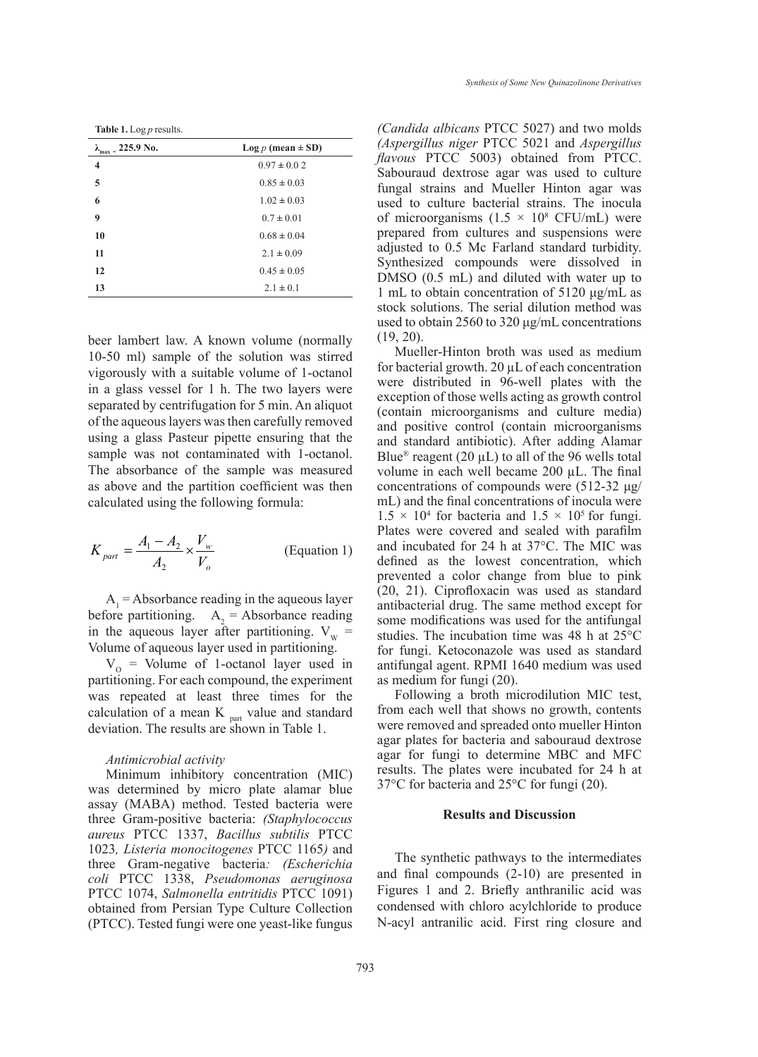**Table 1.** Log *p* results.

| $225.9 N_0$ .<br>$\lambda_{\underline{max}}$ | Log $p$ (mean $\pm$ SD) |
|----------------------------------------------|-------------------------|
| 4                                            | $0.97 \pm 0.02$         |
| 5                                            | $0.85 \pm 0.03$         |
| 6                                            | $1.02 \pm 0.03$         |
| 9                                            | $0.7 \pm 0.01$          |
| 10                                           | $0.68 \pm 0.04$         |
| 11                                           | $2.1 \pm 0.09$          |
| 12                                           | $0.45 \pm 0.05$         |
| 13                                           | $2.1 \pm 0.1$           |

beer lambert law. A known volume (normally 10-50 ml) sample of the solution was stirred vigorously with a suitable volume of 1-octanol in a glass vessel for 1 h. The two layers were separated by centrifugation for 5 min. An aliquot of the aqueous layers was then carefully removed using a glass Pasteur pipette ensuring that the sample was not contaminated with 1-octanol. The absorbance of the sample was measured as above and the partition coefficient was then calculated using the following formula:

$$
K_{part} = \frac{A_1 - A_2}{A_2} \times \frac{V_w}{V_o}
$$
 (Equation 1)

 $A_1$  = Absorbance reading in the aqueous layer before partitioning.  $A_2$  = Absorbance reading in the aqueous layer after partitioning.  $V_{w}$  = Volume of aqueous layer used in partitioning.

 $V_{\text{o}}$  = Volume of 1-octanol layer used in partitioning. For each compound, the experiment was repeated at least three times for the calculation of a mean K <sub>part</sub> value and standard deviation. The results are shown in Table 1.

#### *Antimicrobial activity*

Minimum inhibitory concentration (MIC) was determined by micro plate alamar blue assay (MABA) method. Tested bacteria were three Gram-positive bacteria: *(Staphylococcus aureus* PTCC 1337, *Bacillus subtilis* PTCC 1023*, Listeria monocitogenes* PTCC 1165*)* and three Gram-negative bacteria*: (Escherichia coli* PTCC 1338, *Pseudomonas aeruginosa* PTCC 1074, *Salmonella entritidis* PTCC 1091) obtained from Persian Type Culture Collection (PTCC). Tested fungi were one yeast-like fungus

*(Candida albicans* PTCC 5027) and two molds *(Aspergillus niger* PTCC 5021 and *Aspergillus flavous* PTCC 5003) obtained from PTCC. Sabouraud dextrose agar was used to culture fungal strains and Mueller Hinton agar was used to culture bacterial strains. The inocula of microorganisms  $(1.5 \times 10^8 \text{ CFU/mL})$  were prepared from cultures and suspensions were adjusted to 0.5 Mc Farland standard turbidity. Synthesized compounds were dissolved in DMSO (0.5 mL) and diluted with water up to 1 mL to obtain concentration of 5120 μg/mL as stock solutions. The serial dilution method was used to obtain 2560 to 320 μg/mL concentrations  $(19, 20)$ .

Mueller-Hinton broth was used as medium for bacterial growth.  $20 \mu L$  of each concentration were distributed in 96-well plates with the exception of those wells acting as growth control (contain microorganisms and culture media) and positive control (contain microorganisms and standard antibiotic). After adding Alamar Blue<sup>®</sup> reagent (20  $\mu$ L) to all of the 96 wells total volume in each well became  $200 \mu L$ . The final concentrations of compounds were (512-32 μg/ mL) and the final concentrations of inocula were  $1.5 \times 10^4$  for bacteria and  $1.5 \times 10^5$  for fungi. Plates were covered and sealed with parafilm and incubated for 24 h at 37°C. The MIC was defined as the lowest concentration, which prevented a color change from blue to pink (20, 21). Ciprofloxacin was used as standard antibacterial drug. The same method except for some modifications was used for the antifungal studies. The incubation time was 48 h at 25°C for fungi. Ketoconazole was used as standard antifungal agent. RPMI 1640 medium was used as medium for fungi (20).

Following a broth microdilution MIC test, from each well that shows no growth, contents were removed and spreaded onto mueller Hinton agar plates for bacteria and sabouraud dextrose agar for fungi to determine MBC and MFC results. The plates were incubated for 24 h at 37°C for bacteria and 25°C for fungi (20).

#### **Results and Discussion**

The synthetic pathways to the intermediates and final compounds (2-10) are presented in Figures 1 and 2. Briefly anthranilic acid was condensed with chloro acylchloride to produce N-acyl antranilic acid. First ring closure and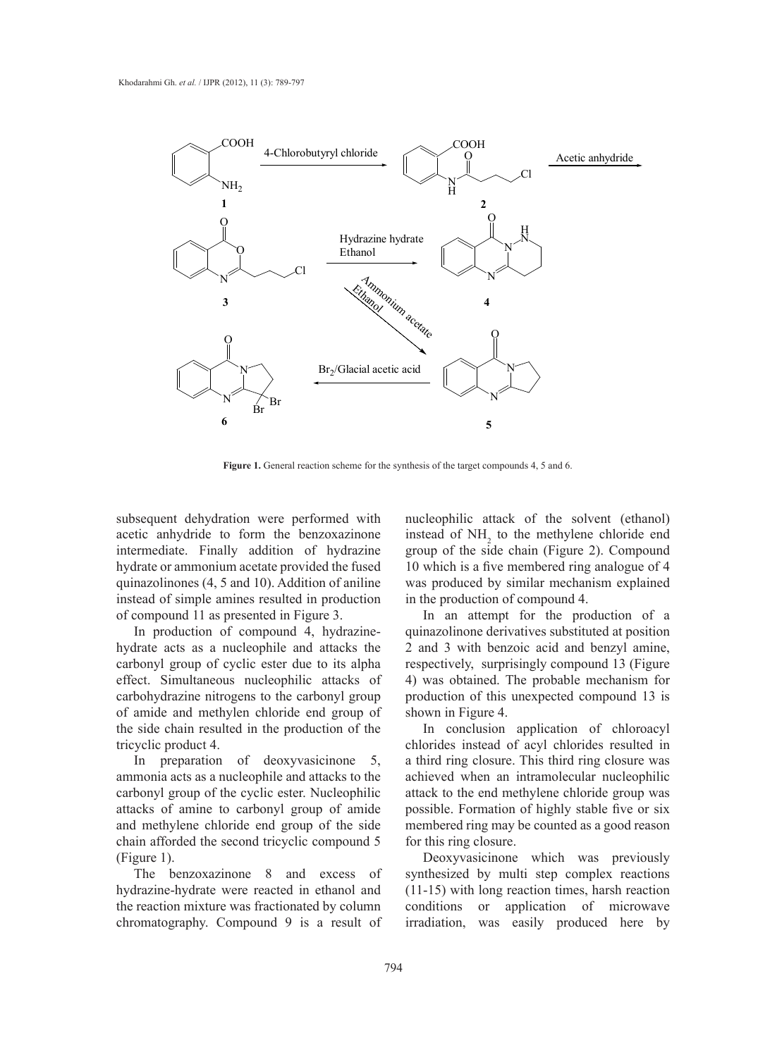

**Figure 1.** General reaction scheme for the synthesis of the target compounds 4, 5 and 6.

subsequent dehydration were performed with acetic anhydride to form the benzoxazinone intermediate. Finally addition of hydrazine hydrate or ammonium acetate provided the fused quinazolinones (4, 5 and 10). Addition of aniline instead of simple amines resulted in production of compound 11 as presented in Figure 3.

In production of compound 4, hydrazinehydrate acts as a nucleophile and attacks the carbonyl group of cyclic ester due to its alpha effect. Simultaneous nucleophilic attacks of carbohydrazine nitrogens to the carbonyl group of amide and methylen chloride end group of the side chain resulted in the production of the tricyclic product 4.

In preparation of deoxyvasicinone 5, ammonia acts as a nucleophile and attacks to the carbonyl group of the cyclic ester. Nucleophilic attacks of amine to carbonyl group of amide and methylene chloride end group of the side chain afforded the second tricyclic compound 5 (Figure 1).

The benzoxazinone 8 and excess of hydrazine-hydrate were reacted in ethanol and the reaction mixture was fractionated by column chromatography. Compound 9 is a result of nucleophilic attack of the solvent (ethanol) instead of  $NH<sub>2</sub>$  to the methylene chloride end group of the side chain (Figure 2). Compound 10 which is a five membered ring analogue of 4 was produced by similar mechanism explained in the production of compound 4.

In an attempt for the production of a quinazolinone derivatives substituted at position 2 and 3 with benzoic acid and benzyl amine, respectively, surprisingly compound 13 (Figure 4) was obtained. The probable mechanism for production of this unexpected compound 13 is shown in Figure 4.

In conclusion application of chloroacyl chlorides instead of acyl chlorides resulted in a third ring closure. This third ring closure was achieved when an intramolecular nucleophilic attack to the end methylene chloride group was possible. Formation of highly stable five or six membered ring may be counted as a good reason for this ring closure.

Deoxyvasicinone which was previously synthesized by multi step complex reactions (11-15) with long reaction times, harsh reaction conditions or application of microwave irradiation, was easily produced here by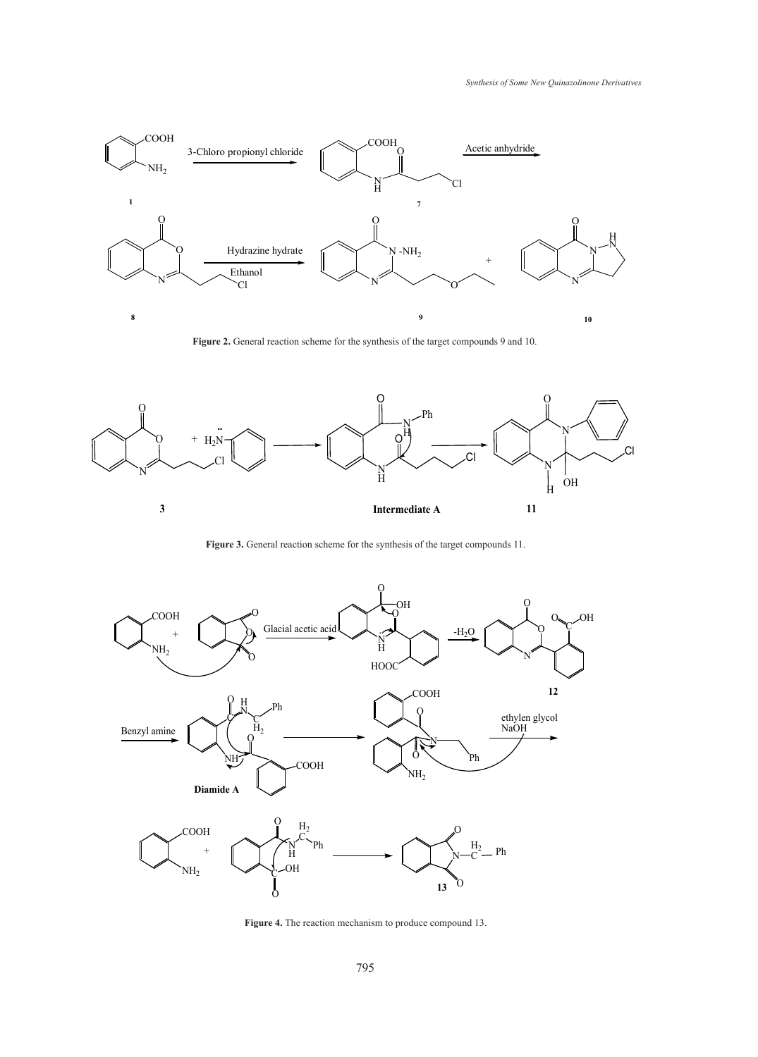

**Figure 2.** General reaction scheme for the synthesis of the target compounds 9 and 10.



**Figure 3.** General reaction scheme for the synthesis of the target compounds 11.



**Figure 4.** The reaction mechanism to produce compound 13.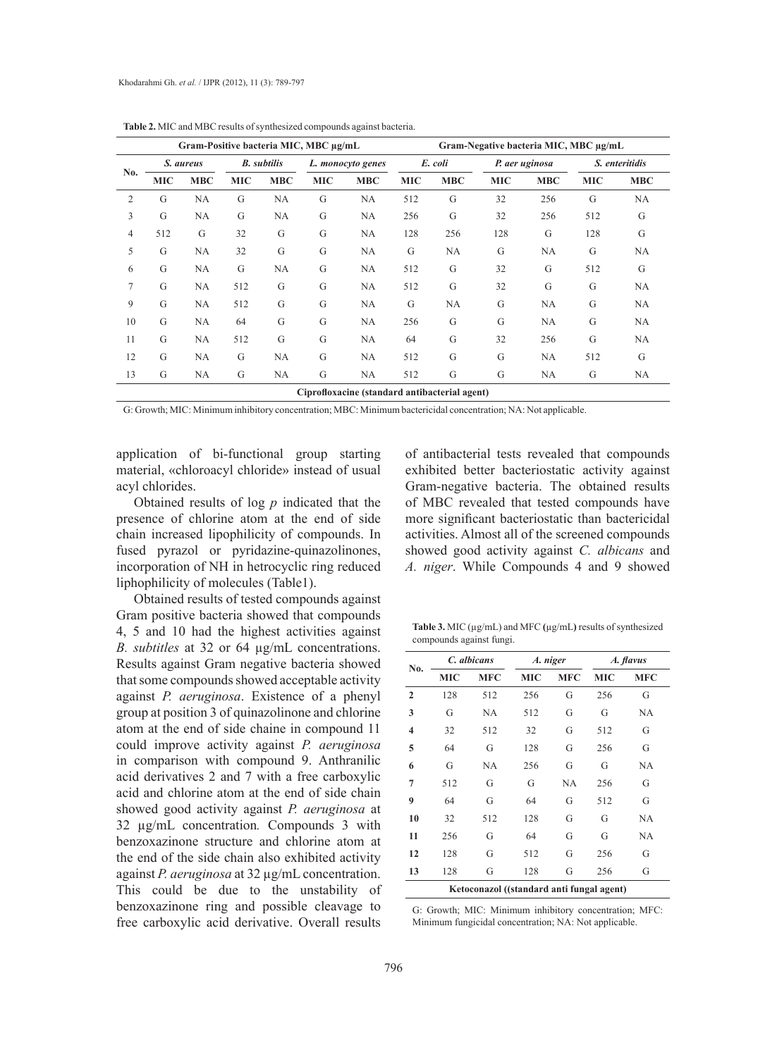|                | Gram-Positive bacteria MIC, MBC µg/mL |            |                    |            |                   |            | Gram-Negative bacteria MIC, MBC µg/mL |            |                |            |                |            |
|----------------|---------------------------------------|------------|--------------------|------------|-------------------|------------|---------------------------------------|------------|----------------|------------|----------------|------------|
|                | S. aureus                             |            | <b>B.</b> subtilis |            | L. monocyto genes |            | E. coli                               |            | P. aer uginosa |            | S. enteritidis |            |
| No.            | <b>MIC</b>                            | <b>MBC</b> | <b>MIC</b>         | <b>MBC</b> | <b>MIC</b>        | <b>MBC</b> | <b>MIC</b>                            | <b>MBC</b> | <b>MIC</b>     | <b>MBC</b> | <b>MIC</b>     | <b>MBC</b> |
| $\overline{2}$ | G                                     | NA         | G                  | <b>NA</b>  | G                 | NA         | 512                                   | G          | 32             | 256        | G              | NA         |
| 3              | G                                     | NA         | G                  | NA         | G                 | NA         | 256                                   | G          | 32             | 256        | 512            | G          |
| $\overline{4}$ | 512                                   | G          | 32                 | G          | G                 | <b>NA</b>  | 128                                   | 256        | 128            | G          | 128            | G          |
| 5              | G                                     | <b>NA</b>  | 32                 | G          | G                 | <b>NA</b>  | G                                     | NA         | G              | <b>NA</b>  | G              | NA         |
| 6              | G                                     | NA         | G                  | NA         | G                 | <b>NA</b>  | 512                                   | G          | 32             | G          | 512            | G          |
| $\overline{7}$ | G                                     | <b>NA</b>  | 512                | G          | G                 | <b>NA</b>  | 512                                   | G          | 32             | G          | G              | NA         |
| 9              | G                                     | <b>NA</b>  | 512                | G          | G                 | <b>NA</b>  | G                                     | <b>NA</b>  | G              | <b>NA</b>  | G              | <b>NA</b>  |
| 10             | G                                     | <b>NA</b>  | 64                 | G          | G                 | <b>NA</b>  | 256                                   | G          | G              | <b>NA</b>  | G              | NA         |
| 11             | G                                     | <b>NA</b>  | 512                | G          | G                 | NA         | 64                                    | G          | 32             | 256        | G              | NA         |
| 12             | G                                     | <b>NA</b>  | G                  | <b>NA</b>  | G                 | <b>NA</b>  | 512                                   | G          | G              | <b>NA</b>  | 512            | G          |
| 13             | G                                     | NA         | G                  | NA         | G                 | NA         | 512                                   | G          | G              | NA         | G              | NA         |

**Table 2.** MIC and MBC results of synthesized compounds against bacteria.

**Ciprofloxacine (standard antibacterial agent)**

G: Growth; MIC: Minimum inhibitory concentration; MBC: Minimum bactericidal concentration; NA: Not applicable.

application of bi-functional group starting material, «chloroacyl chloride» instead of usual acyl chlorides.

Obtained results of log *p* indicated that the presence of chlorine atom at the end of side chain increased lipophilicity of compounds. In fused pyrazol or pyridazine-quinazolinones, incorporation of NH in hetrocyclic ring reduced liphophilicity of molecules (Table1).

Obtained results of tested compounds against Gram positive bacteria showed that compounds 4, 5 and 10 had the highest activities against *B. subtitles* at 32 or 64 µg/mL concentrations. Results against Gram negative bacteria showed that some compounds showed acceptable activity against *P. aeruginosa*. Existence of a phenyl group at position 3 of quinazolinone and chlorine atom at the end of side chaine in compound 11 could improve activity against *P. aeruginosa*  in comparison with compound 9. Anthranilic acid derivatives 2 and 7 with a free carboxylic acid and chlorine atom at the end of side chain showed good activity against *P. aeruginosa* at 32 µg/mL concentration*.* Compounds 3 with benzoxazinone structure and chlorine atom at the end of the side chain also exhibited activity against *P. aeruginosa* at 32 µg/mL concentration. This could be due to the unstability of benzoxazinone ring and possible cleavage to free carboxylic acid derivative. Overall results of antibacterial tests revealed that compounds exhibited better bacteriostatic activity against Gram-negative bacteria. The obtained results of MBC revealed that tested compounds have more significant bacteriostatic than bactericidal activities. Almost all of the screened compounds showed good activity against *C. albicans* and *A. niger*. While Compounds 4 and 9 showed

**Table 3.** MIC (µg/mL) and MFC **(**µg/mL**)** results of synthesized compounds against fungi.

| No.                                       |            | C. albicans |            | A. niger   | A. flavus  |            |  |
|-------------------------------------------|------------|-------------|------------|------------|------------|------------|--|
|                                           | <b>MIC</b> | <b>MFC</b>  | <b>MIC</b> | <b>MFC</b> | <b>MIC</b> | <b>MFC</b> |  |
| $\mathbf{2}$                              | 128        | 512         | 256        | G          | 256        | G          |  |
| 3                                         | G          | NA          | 512        | G          | G          | NA         |  |
| $\overline{\mathbf{4}}$                   | 32         | 512         | 32         | G          | 512        | G          |  |
| 5                                         | 64         | G           | 128        | G          | 256        | G          |  |
| 6                                         | G          | NA          | 256        | G          | G          | NA         |  |
| 7                                         | 512        | G           | G          | NA         | 256        | G          |  |
| 9                                         | 64         | G           | 64         | G          | 512        | G          |  |
| 10                                        | 32         | 512         | 128        | G          | G          | NA         |  |
| 11                                        | 256        | G           | 64         | G          | G          | NA         |  |
| 12                                        | 128        | G           | 512        | G          | 256        | G          |  |
| 13                                        | 128        | G           | 128        | G          | 256        | G          |  |
| Ketoconazol ((standard anti fungal agent) |            |             |            |            |            |            |  |

G: Growth; MIC: Minimum inhibitory concentration; MFC: Minimum fungicidal concentration; NA: Not applicable.